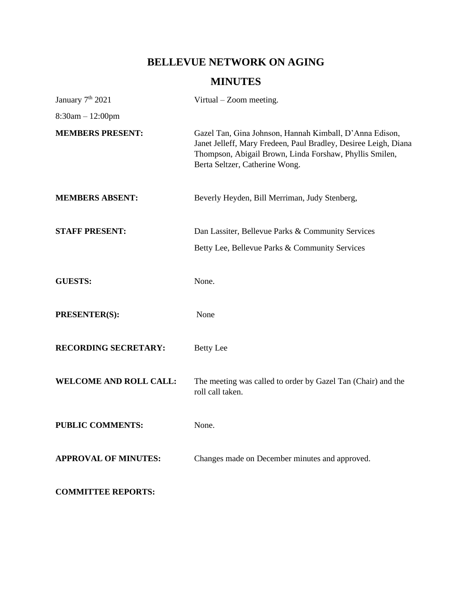# **BELLEVUE NETWORK ON AGING**

# **MINUTES**

| January 7 <sup>th</sup> 2021  | Virtual – Zoom meeting.                                                                                                                                                                                                 |
|-------------------------------|-------------------------------------------------------------------------------------------------------------------------------------------------------------------------------------------------------------------------|
| $8:30am - 12:00pm$            |                                                                                                                                                                                                                         |
| <b>MEMBERS PRESENT:</b>       | Gazel Tan, Gina Johnson, Hannah Kimball, D'Anna Edison,<br>Janet Jelleff, Mary Fredeen, Paul Bradley, Desiree Leigh, Diana<br>Thompson, Abigail Brown, Linda Forshaw, Phyllis Smilen,<br>Berta Seltzer, Catherine Wong. |
| <b>MEMBERS ABSENT:</b>        | Beverly Heyden, Bill Merriman, Judy Stenberg,                                                                                                                                                                           |
| <b>STAFF PRESENT:</b>         | Dan Lassiter, Bellevue Parks & Community Services                                                                                                                                                                       |
|                               | Betty Lee, Bellevue Parks & Community Services                                                                                                                                                                          |
| <b>GUESTS:</b>                | None.                                                                                                                                                                                                                   |
| <b>PRESENTER(S):</b>          | None                                                                                                                                                                                                                    |
| <b>RECORDING SECRETARY:</b>   | <b>Betty Lee</b>                                                                                                                                                                                                        |
| <b>WELCOME AND ROLL CALL:</b> | The meeting was called to order by Gazel Tan (Chair) and the<br>roll call taken.                                                                                                                                        |
| <b>PUBLIC COMMENTS:</b>       | None.                                                                                                                                                                                                                   |
| <b>APPROVAL OF MINUTES:</b>   | Changes made on December minutes and approved.                                                                                                                                                                          |
| <b>COMMITTEE REPORTS:</b>     |                                                                                                                                                                                                                         |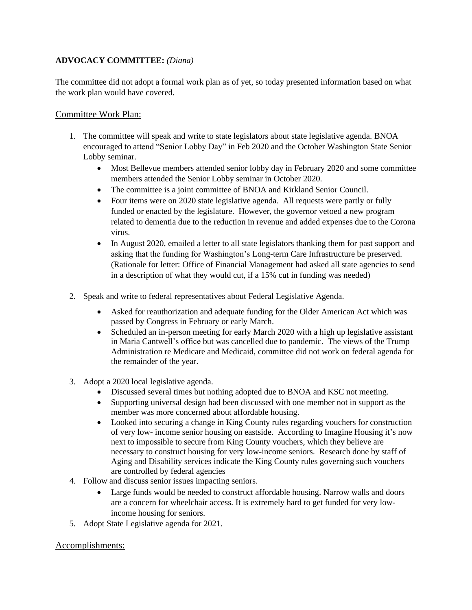### **ADVOCACY COMMITTEE:** *(Diana)*

The committee did not adopt a formal work plan as of yet, so today presented information based on what the work plan would have covered.

### Committee Work Plan:

- 1. The committee will speak and write to state legislators about state legislative agenda. BNOA encouraged to attend "Senior Lobby Day" in Feb 2020 and the October Washington State Senior Lobby seminar.
	- Most Bellevue members attended senior lobby day in February 2020 and some committee members attended the Senior Lobby seminar in October 2020.
	- The committee is a joint committee of BNOA and Kirkland Senior Council.
	- Four items were on 2020 state legislative agenda. All requests were partly or fully funded or enacted by the legislature. However, the governor vetoed a new program related to dementia due to the reduction in revenue and added expenses due to the Corona virus.
	- In August 2020, emailed a letter to all state legislators thanking them for past support and asking that the funding for Washington's Long-term Care Infrastructure be preserved. (Rationale for letter: Office of Financial Management had asked all state agencies to send in a description of what they would cut, if a 15% cut in funding was needed)
- 2. Speak and write to federal representatives about Federal Legislative Agenda.
	- Asked for reauthorization and adequate funding for the Older American Act which was passed by Congress in February or early March.
	- Scheduled an in-person meeting for early March 2020 with a high up legislative assistant in Maria Cantwell's office but was cancelled due to pandemic. The views of the Trump Administration re Medicare and Medicaid, committee did not work on federal agenda for the remainder of the year.
- 3. Adopt a 2020 local legislative agenda.
	- Discussed several times but nothing adopted due to BNOA and KSC not meeting.
	- Supporting universal design had been discussed with one member not in support as the member was more concerned about affordable housing.
	- Looked into securing a change in King County rules regarding vouchers for construction of very low- income senior housing on eastside. According to Imagine Housing it's now next to impossible to secure from King County vouchers, which they believe are necessary to construct housing for very low-income seniors. Research done by staff of Aging and Disability services indicate the King County rules governing such vouchers are controlled by federal agencies
- 4. Follow and discuss senior issues impacting seniors.
	- Large funds would be needed to construct affordable housing. Narrow walls and doors are a concern for wheelchair access. It is extremely hard to get funded for very lowincome housing for seniors.
- 5. Adopt State Legislative agenda for 2021.

### Accomplishments: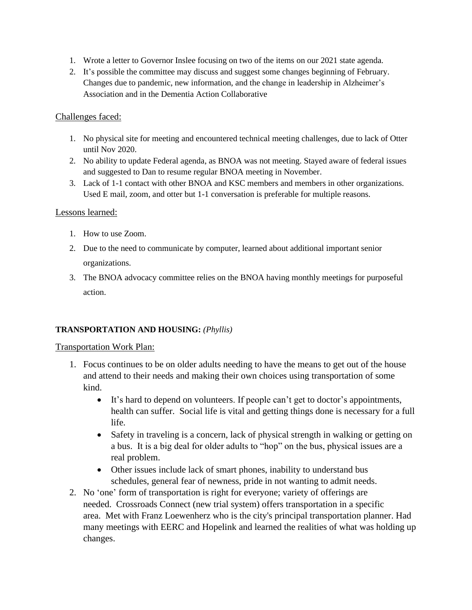- 1. Wrote a letter to Governor Inslee focusing on two of the items on our 2021 state agenda.
- 2. It's possible the committee may discuss and suggest some changes beginning of February. Changes due to pandemic, new information, and the change in leadership in Alzheimer's Association and in the Dementia Action Collaborative

### Challenges faced:

- 1. No physical site for meeting and encountered technical meeting challenges, due to lack of Otter until Nov 2020.
- 2. No ability to update Federal agenda, as BNOA was not meeting. Stayed aware of federal issues and suggested to Dan to resume regular BNOA meeting in November.
- 3. Lack of 1-1 contact with other BNOA and KSC members and members in other organizations. Used E mail, zoom, and otter but 1-1 conversation is preferable for multiple reasons.

### Lessons learned:

- 1. How to use Zoom.
- 2. Due to the need to communicate by computer, learned about additional important senior organizations.
- 3. The BNOA advocacy committee relies on the BNOA having monthly meetings for purposeful action.

## **TRANSPORTATION AND HOUSING:** *(Phyllis)*

### Transportation Work Plan:

- 1. Focus continues to be on older adults needing to have the means to get out of the house and attend to their needs and making their own choices using transportation of some kind.
	- It's hard to depend on volunteers. If people can't get to doctor's appointments, health can suffer. Social life is vital and getting things done is necessary for a full life.
	- Safety in traveling is a concern, lack of physical strength in walking or getting on a bus. It is a big deal for older adults to "hop" on the bus, physical issues are a real problem.
	- Other issues include lack of smart phones, inability to understand bus schedules, general fear of newness, pride in not wanting to admit needs.
- 2. No 'one' form of transportation is right for everyone; variety of offerings are needed. Crossroads Connect (new trial system) offers transportation in a specific area. Met with Franz Loewenherz who is the city's principal transportation planner. Had many meetings with EERC and Hopelink and learned the realities of what was holding up changes.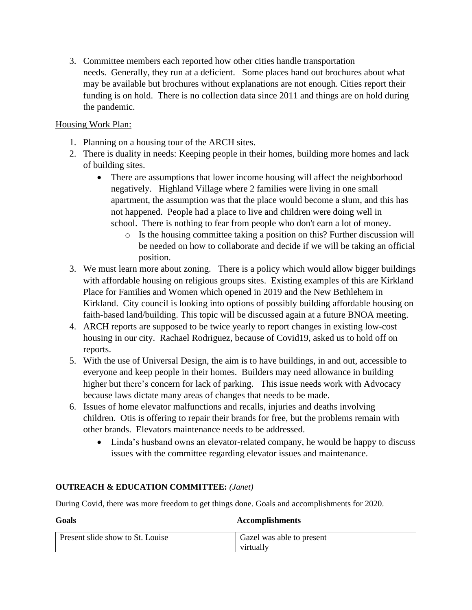3. Committee members each reported how other cities handle transportation needs. Generally, they run at a deficient. Some places hand out brochures about what may be available but brochures without explanations are not enough. Cities report their funding is on hold. There is no collection data since 2011 and things are on hold during the pandemic.

# Housing Work Plan:

- 1. Planning on a housing tour of the ARCH sites.
- 2. There is duality in needs: Keeping people in their homes, building more homes and lack of building sites.
	- There are assumptions that lower income housing will affect the neighborhood negatively. Highland Village where 2 families were living in one small apartment, the assumption was that the place would become a slum, and this has not happened. People had a place to live and children were doing well in school. There is nothing to fear from people who don't earn a lot of money.
		- o Is the housing committee taking a position on this? Further discussion will be needed on how to collaborate and decide if we will be taking an official position.
- 3. We must learn more about zoning. There is a policy which would allow bigger buildings with affordable housing on religious groups sites. Existing examples of this are Kirkland Place for Families and Women which opened in 2019 and the New Bethlehem in Kirkland. City council is looking into options of possibly building affordable housing on faith-based land/building. This topic will be discussed again at a future BNOA meeting.
- 4. ARCH reports are supposed to be twice yearly to report changes in existing low-cost housing in our city. Rachael Rodriguez, because of Covid19, asked us to hold off on reports.
- 5. With the use of Universal Design, the aim is to have buildings, in and out, accessible to everyone and keep people in their homes. Builders may need allowance in building higher but there's concern for lack of parking. This issue needs work with Advocacy because laws dictate many areas of changes that needs to be made.
- 6. Issues of home elevator malfunctions and recalls, injuries and deaths involving children. Otis is offering to repair their brands for free, but the problems remain with other brands. Elevators maintenance needs to be addressed.
	- Linda's husband owns an elevator-related company, he would be happy to discuss issues with the committee regarding elevator issues and maintenance.

## **OUTREACH & EDUCATION COMMITTEE:** *(Janet)*

During Covid, there was more freedom to get things done. Goals and accomplishments for 2020.

# **Goals Accomplishments**

| Present slide show to St. Louise | Gazel was able to present |
|----------------------------------|---------------------------|
|                                  | virtually                 |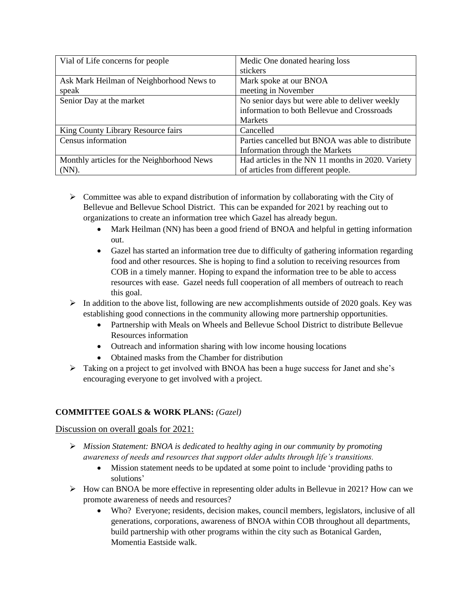| Vial of Life concerns for people           | Medic One donated hearing loss                    |
|--------------------------------------------|---------------------------------------------------|
|                                            | stickers                                          |
| Ask Mark Heilman of Neighborhood News to   | Mark spoke at our BNOA                            |
| speak                                      | meeting in November                               |
| Senior Day at the market                   | No senior days but were able to deliver weekly    |
|                                            | information to both Bellevue and Crossroads       |
|                                            | <b>Markets</b>                                    |
| King County Library Resource fairs         | Cancelled                                         |
| Census information                         | Parties cancelled but BNOA was able to distribute |
|                                            | Information through the Markets                   |
| Monthly articles for the Neighborhood News | Had articles in the NN 11 months in 2020. Variety |
| $(NN)$ .                                   | of articles from different people.                |

- $\triangleright$  Committee was able to expand distribution of information by collaborating with the City of Bellevue and Bellevue School District. This can be expanded for 2021 by reaching out to organizations to create an information tree which Gazel has already begun.
	- Mark Heilman (NN) has been a good friend of BNOA and helpful in getting information out.
	- Gazel has started an information tree due to difficulty of gathering information regarding food and other resources. She is hoping to find a solution to receiving resources from COB in a timely manner. Hoping to expand the information tree to be able to access resources with ease. Gazel needs full cooperation of all members of outreach to reach this goal.
- $\triangleright$  In addition to the above list, following are new accomplishments outside of 2020 goals. Key was establishing good connections in the community allowing more partnership opportunities.
	- Partnership with Meals on Wheels and Bellevue School District to distribute Bellevue Resources information
	- Outreach and information sharing with low income housing locations
	- Obtained masks from the Chamber for distribution
- $\triangleright$  Taking on a project to get involved with BNOA has been a huge success for Janet and she's encouraging everyone to get involved with a project.

### **COMMITTEE GOALS & WORK PLANS:** *(Gazel)*

### Discussion on overall goals for 2021:

- ➢ *Mission Statement: BNOA is dedicated to healthy aging in our community by promoting awareness of needs and resources that support older adults through life's transitions.* 
	- Mission statement needs to be updated at some point to include 'providing paths to solutions'
- ➢ How can BNOA be more effective in representing older adults in Bellevue in 2021? How can we promote awareness of needs and resources?
	- Who? Everyone; residents, decision makes, council members, legislators, inclusive of all generations, corporations, awareness of BNOA within COB throughout all departments, build partnership with other programs within the city such as Botanical Garden, Momentia Eastside walk.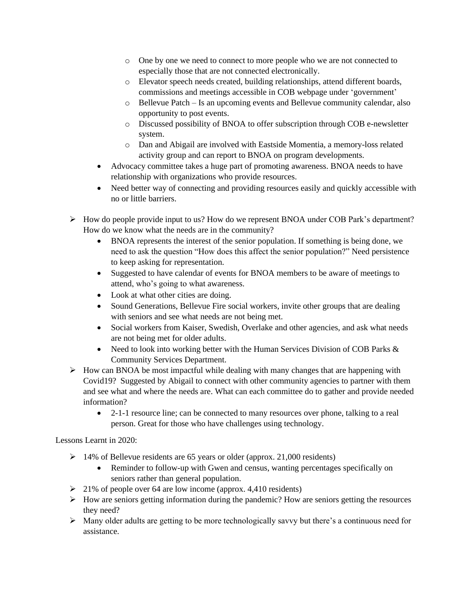- o One by one we need to connect to more people who we are not connected to especially those that are not connected electronically.
- o Elevator speech needs created, building relationships, attend different boards, commissions and meetings accessible in COB webpage under 'government'
- o Bellevue Patch Is an upcoming events and Bellevue community calendar, also opportunity to post events.
- o Discussed possibility of BNOA to offer subscription through COB e-newsletter system.
- o Dan and Abigail are involved with Eastside Momentia, a memory-loss related activity group and can report to BNOA on program developments.
- Advocacy committee takes a huge part of promoting awareness. BNOA needs to have relationship with organizations who provide resources.
- Need better way of connecting and providing resources easily and quickly accessible with no or little barriers.
- ➢ How do people provide input to us? How do we represent BNOA under COB Park's department? How do we know what the needs are in the community?
	- BNOA represents the interest of the senior population. If something is being done, we need to ask the question "How does this affect the senior population?" Need persistence to keep asking for representation.
	- Suggested to have calendar of events for BNOA members to be aware of meetings to attend, who's going to what awareness.
	- Look at what other cities are doing.
	- Sound Generations, Bellevue Fire social workers, invite other groups that are dealing with seniors and see what needs are not being met.
	- Social workers from Kaiser, Swedish, Overlake and other agencies, and ask what needs are not being met for older adults.
	- Need to look into working better with the Human Services Division of COB Parks  $\&$ Community Services Department.
- $\triangleright$  How can BNOA be most impactful while dealing with many changes that are happening with Covid19? Suggested by Abigail to connect with other community agencies to partner with them and see what and where the needs are. What can each committee do to gather and provide needed information?
	- 2-1-1 resource line; can be connected to many resources over phone, talking to a real person. Great for those who have challenges using technology.

## Lessons Learnt in 2020:

- ➢ 14% of Bellevue residents are 65 years or older (approx. 21,000 residents)
	- Reminder to follow-up with Gwen and census, wanting percentages specifically on seniors rather than general population.
- ➢ 21% of people over 64 are low income (approx. 4,410 residents)
- ➢ How are seniors getting information during the pandemic? How are seniors getting the resources they need?
- ➢ Many older adults are getting to be more technologically savvy but there's a continuous need for assistance.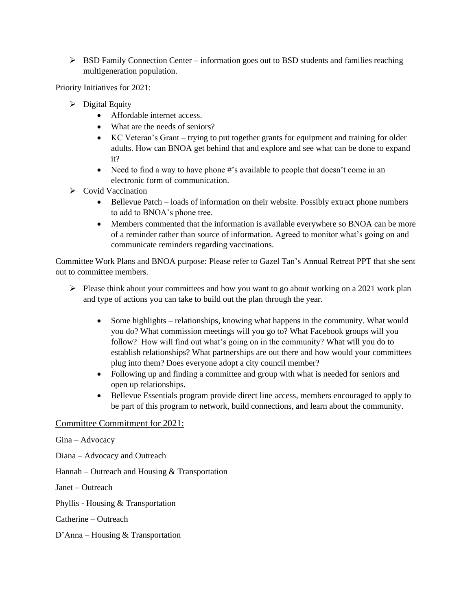$\triangleright$  BSD Family Connection Center – information goes out to BSD students and families reaching multigeneration population.

Priority Initiatives for 2021:

- $\triangleright$  Digital Equity
	- Affordable internet access.
	- What are the needs of seniors?
	- KC Veteran's Grant trying to put together grants for equipment and training for older adults. How can BNOA get behind that and explore and see what can be done to expand it?
	- Need to find a way to have phone #'s available to people that doesn't come in an electronic form of communication.
- ➢ Covid Vaccination
	- Bellevue Patch loads of information on their website. Possibly extract phone numbers to add to BNOA's phone tree.
	- Members commented that the information is available everywhere so BNOA can be more of a reminder rather than source of information. Agreed to monitor what's going on and communicate reminders regarding vaccinations.

Committee Work Plans and BNOA purpose: Please refer to Gazel Tan's Annual Retreat PPT that she sent out to committee members.

- $\triangleright$  Please think about your committees and how you want to go about working on a 2021 work plan and type of actions you can take to build out the plan through the year.
	- Some highlights relationships, knowing what happens in the community. What would you do? What commission meetings will you go to? What Facebook groups will you follow? How will find out what's going on in the community? What will you do to establish relationships? What partnerships are out there and how would your committees plug into them? Does everyone adopt a city council member?
	- Following up and finding a committee and group with what is needed for seniors and open up relationships.
	- Bellevue Essentials program provide direct line access, members encouraged to apply to be part of this program to network, build connections, and learn about the community.

#### Committee Commitment for 2021:

Gina – Advocacy

- Diana Advocacy and Outreach
- Hannah Outreach and Housing & Transportation

Janet – Outreach

Phyllis - Housing & Transportation

Catherine – Outreach

D'Anna – Housing & Transportation